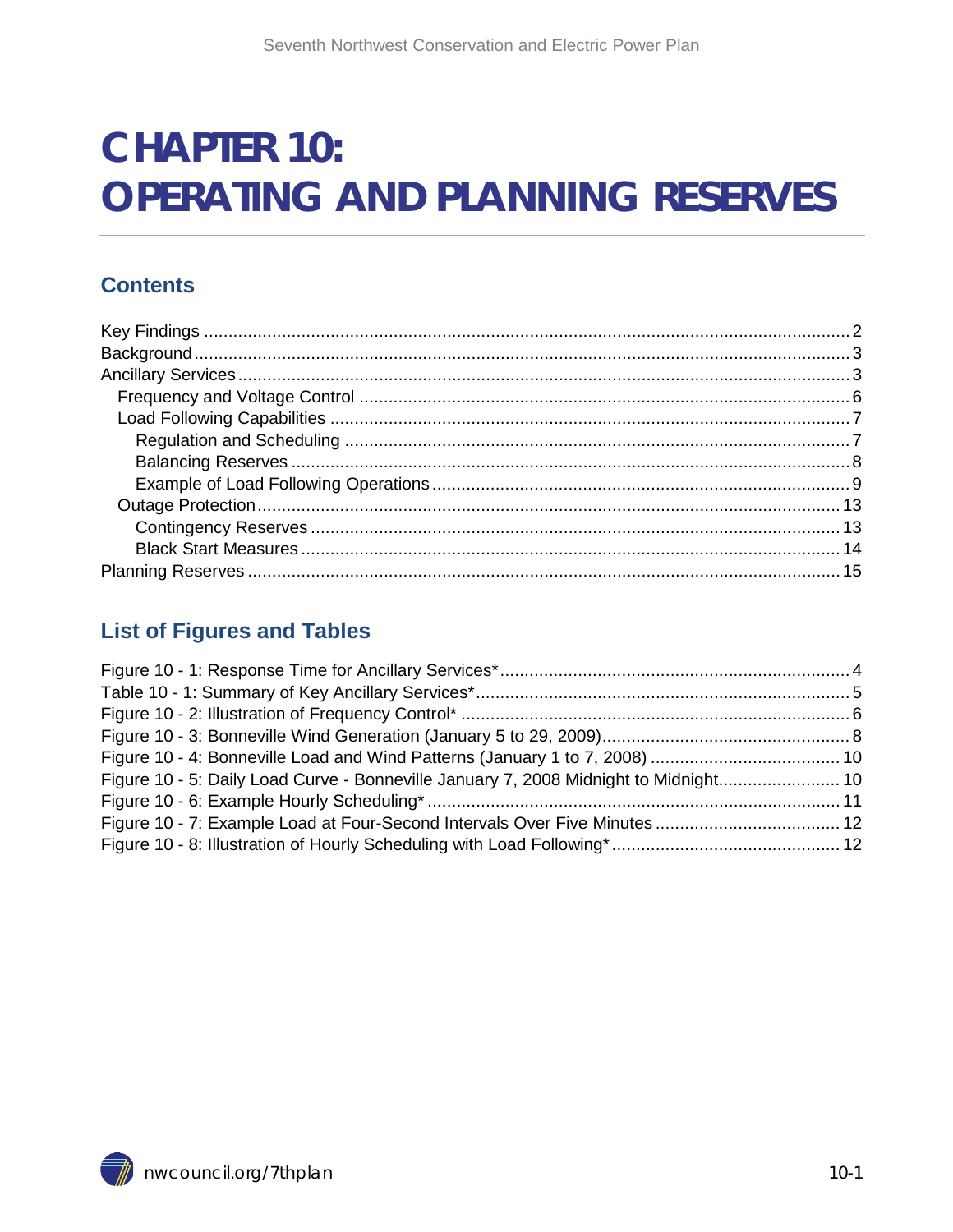# **CHAPTER 10: OPERATING AND PLANNING RESERVES**

#### **Contents**

#### **List of Figures and Tables**

| Figure 10 - 5: Daily Load Curve - Bonneville January 7, 2008 Midnight to Midnight 10 |  |
|--------------------------------------------------------------------------------------|--|
|                                                                                      |  |
| Figure 10 - 7: Example Load at Four-Second Intervals Over Five Minutes  12           |  |
|                                                                                      |  |
|                                                                                      |  |

<span id="page-0-0"></span>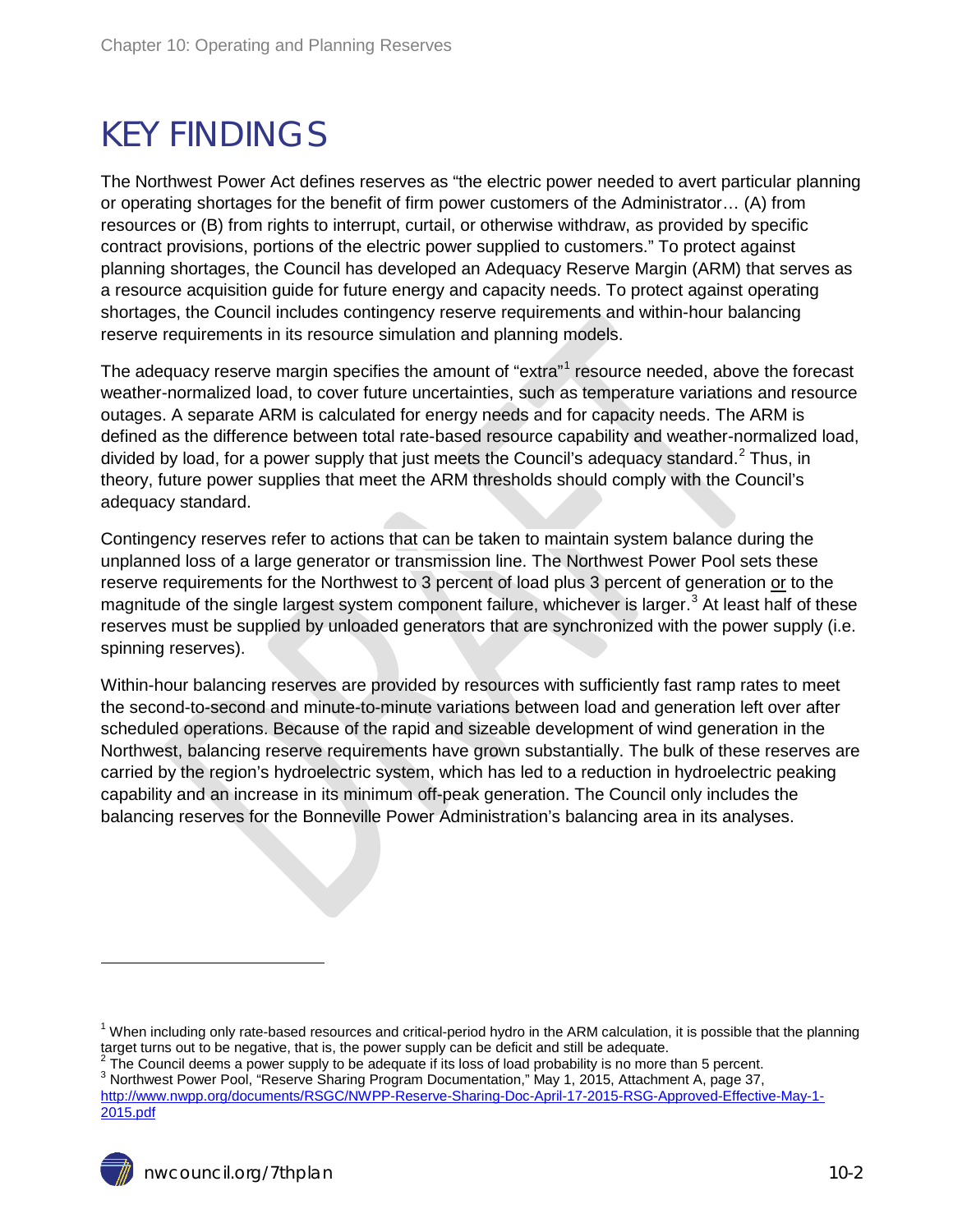## <span id="page-1-0"></span>KEY FINDINGS

The Northwest Power Act defines reserves as "the electric power needed to avert particular planning or operating shortages for the benefit of firm power customers of the Administrator… (A) from resources or (B) from rights to interrupt, curtail, or otherwise withdraw, as provided by specific contract provisions, portions of the electric power supplied to customers." To protect against planning shortages, the Council has developed an Adequacy Reserve Margin (ARM) that serves as a resource acquisition guide for future energy and capacity needs. To protect against operating shortages, the Council includes contingency reserve requirements and within-hour balancing reserve requirements in its resource simulation and planning models.

The adequacy reserve margin specifies the amount of "extra"<sup>[1](#page-0-0)</sup> resource needed, above the forecast weather-normalized load, to cover future uncertainties, such as temperature variations and resource outages. A separate ARM is calculated for energy needs and for capacity needs. The ARM is defined as the difference between total rate-based resource capability and weather-normalized load, divided by load, for a power supply that just meets the Council's adequacy standard.<sup>[2](#page-1-1)</sup> Thus, in theory, future power supplies that meet the ARM thresholds should comply with the Council's adequacy standard.

Contingency reserves refer to actions that can be taken to maintain system balance during the unplanned loss of a large generator or transmission line. The Northwest Power Pool sets these reserve requirements for the Northwest to 3 percent of load plus 3 percent of generation or to the magnitude of the single largest system component failure, whichever is larger.<sup>[3](#page-1-2)</sup> At least half of these reserves must be supplied by unloaded generators that are synchronized with the power supply (i.e. spinning reserves).

Within-hour balancing reserves are provided by resources with sufficiently fast ramp rates to meet the second-to-second and minute-to-minute variations between load and generation left over after scheduled operations. Because of the rapid and sizeable development of wind generation in the Northwest, balancing reserve requirements have grown substantially. The bulk of these reserves are carried by the region's hydroelectric system, which has led to a reduction in hydroelectric peaking capability and an increase in its minimum off-peak generation. The Council only includes the balancing reserves for the Bonneville Power Administration's balancing area in its analyses.

 $\overline{a}$ 

 $1$  When including only rate-based resources and critical-period hydro in the ARM calculation, it is possible that the planning target turns out to be negative, that is, the power supply can be deficit and still be adequa

<span id="page-1-1"></span> $3$  The Council deems a power supply to be adequate if its loss of load probability is no more than 5 percent.<br>3 Northwest Power Pool, "Reserve Sharing Program Documentation," May 1, 2015, Attachment A, page 37,

<span id="page-1-2"></span>

[http://www.nwpp.org/documents/RSGC/NWPP-Reserve-Sharing-Doc-April-17-2015-RSG-Approved-Effective-May-1-](http://www.nwpp.org/documents/RSGC/NWPP-Reserve-Sharing-Doc-April-17-2015-RSG-Approved-Effective-May-1-2015.pdf) [2015.pdf](http://www.nwpp.org/documents/RSGC/NWPP-Reserve-Sharing-Doc-April-17-2015-RSG-Approved-Effective-May-1-2015.pdf)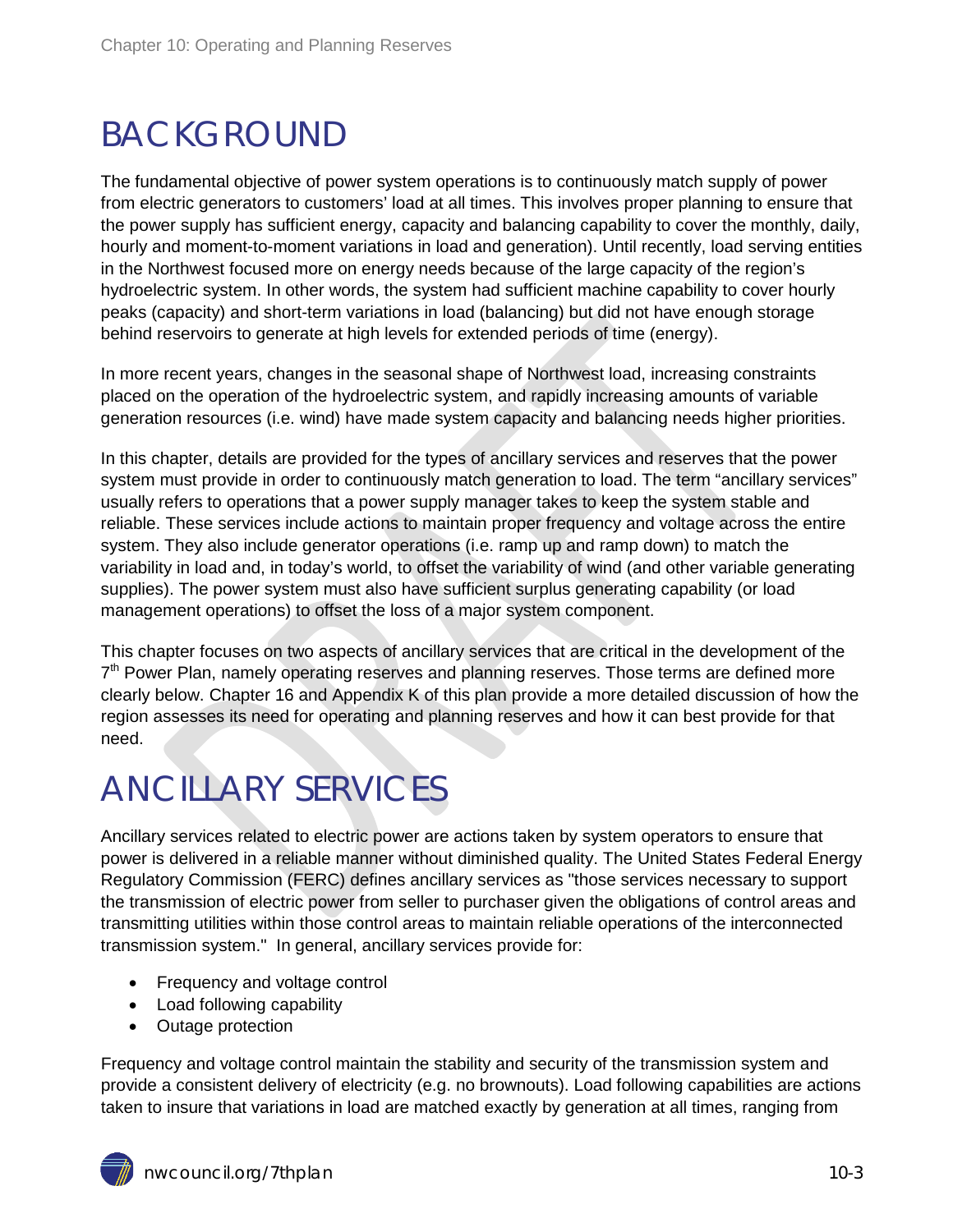# <span id="page-2-0"></span>BACKGROUND

The fundamental objective of power system operations is to continuously match supply of power from electric generators to customers' load at all times. This involves proper planning to ensure that the power supply has sufficient energy, capacity and balancing capability to cover the monthly, daily, hourly and moment-to-moment variations in load and generation). Until recently, load serving entities in the Northwest focused more on energy needs because of the large capacity of the region's hydroelectric system. In other words, the system had sufficient machine capability to cover hourly peaks (capacity) and short-term variations in load (balancing) but did not have enough storage behind reservoirs to generate at high levels for extended periods of time (energy).

In more recent years, changes in the seasonal shape of Northwest load, increasing constraints placed on the operation of the hydroelectric system, and rapidly increasing amounts of variable generation resources (i.e. wind) have made system capacity and balancing needs higher priorities.

In this chapter, details are provided for the types of ancillary services and reserves that the power system must provide in order to continuously match generation to load. The term "ancillary services" usually refers to operations that a power supply manager takes to keep the system stable and reliable. These services include actions to maintain proper frequency and voltage across the entire system. They also include generator operations (i.e. ramp up and ramp down) to match the variability in load and, in today's world, to offset the variability of wind (and other variable generating supplies). The power system must also have sufficient surplus generating capability (or load management operations) to offset the loss of a major system component.

This chapter focuses on two aspects of ancillary services that are critical in the development of the  $7<sup>th</sup>$  Power Plan, namely operating reserves and planning reserves. Those terms are defined more clearly below. Chapter 16 and Appendix K of this plan provide a more detailed discussion of how the region assesses its need for operating and planning reserves and how it can best provide for that need.

# <span id="page-2-1"></span>ANCILLARY SERVICES

Ancillary services related to electric power are actions taken by system operators to ensure that power is delivered in a reliable manner without diminished quality. The United States [Federal Energy](https://en.wikipedia.org/wiki/Federal_Energy_Regulatory_Commission)  [Regulatory Commission \(FERC\)](https://en.wikipedia.org/wiki/Federal_Energy_Regulatory_Commission) defines ancillary services as "those services necessary to support the transmission of electric power from seller to purchaser given the obligations of control areas and transmitting utilities within those control areas to maintain reliable operations of the interconnected transmission system." In general, ancillary services provide for:

- Frequency and voltage control
- Load following capability
- Outage protection

Frequency and voltage control maintain the stability and security of the transmission system and provide a consistent delivery of electricity (e.g. no brownouts). Load following capabilities are actions taken to insure that variations in load are matched exactly by generation at all times, ranging from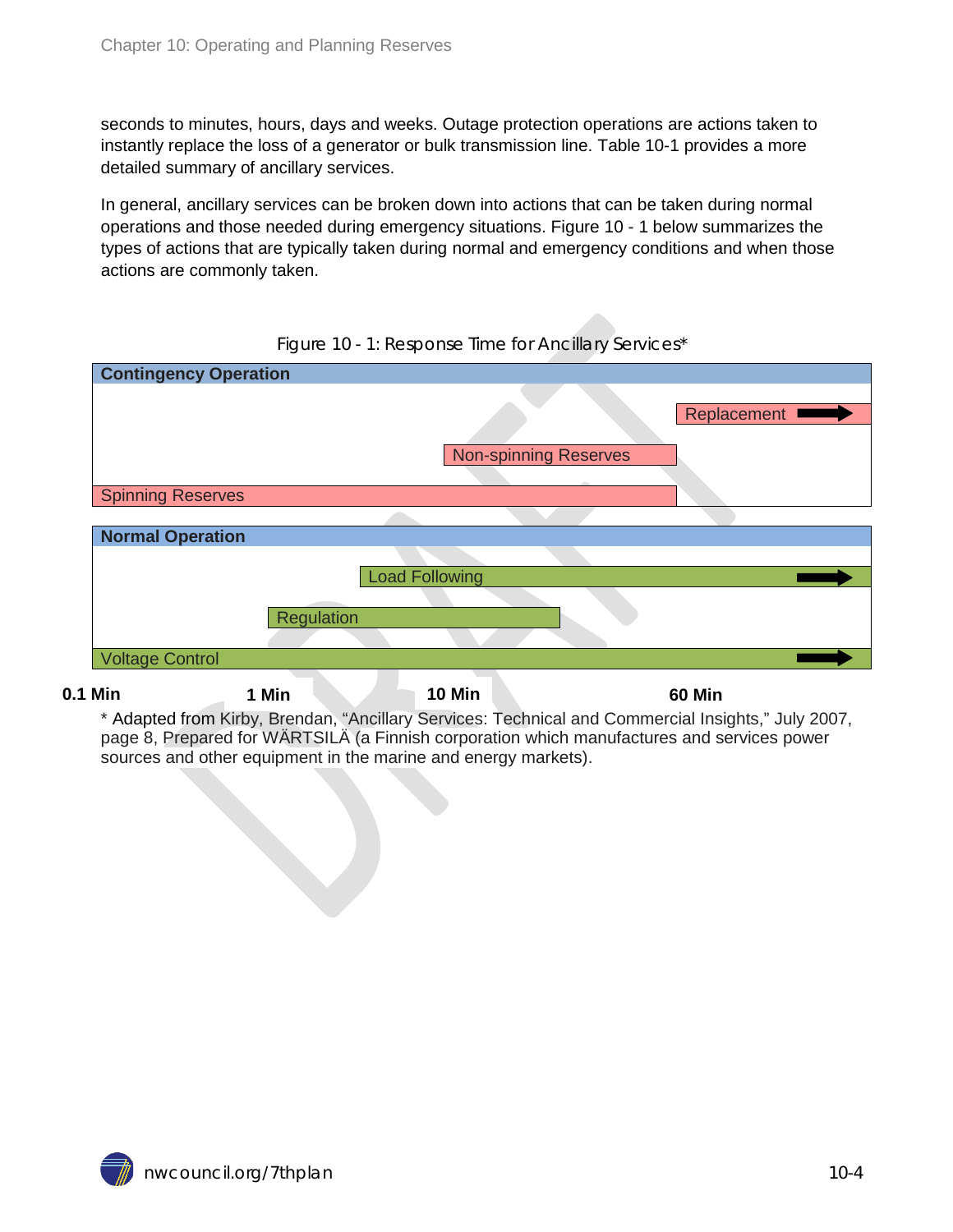seconds to minutes, hours, days and weeks. Outage protection operations are actions taken to instantly replace the loss of a generator or bulk transmission line. Table 10-1 provides a more detailed summary of ancillary services.

In general, ancillary services can be broken down into actions that can be taken during normal operations and those needed during emergency situations. Figure 10 - 1 below summarizes the types of actions that are typically taken during normal and emergency conditions and when those actions are commonly taken.

<span id="page-3-0"></span>

| <b>Contingency Operation</b> |                              |               |
|------------------------------|------------------------------|---------------|
|                              |                              |               |
|                              |                              | Replacement I |
|                              | <b>Non-spinning Reserves</b> |               |
|                              |                              |               |
| <b>Spinning Reserves</b>     |                              |               |
|                              |                              |               |
| <b>Normal Operation</b>      |                              |               |
|                              |                              |               |
|                              | <b>Load Following</b>        |               |
|                              |                              |               |
| Regulation                   |                              |               |
|                              |                              |               |
| <b>Voltage Control</b>       |                              |               |
|                              |                              |               |

Figure 10 - 1: Response Time for Ancillary Services\*

**0.1 Min 1 Min 10 Min 60 Min**

\* Adapted from Kirby, Brendan, "Ancillary Services: Technical and Commercial Insights," July 2007, page 8, Prepared for WÄRTSILÄ (a Finnish corporation which manufactures and services power sources and other equipment in the marine and energy markets).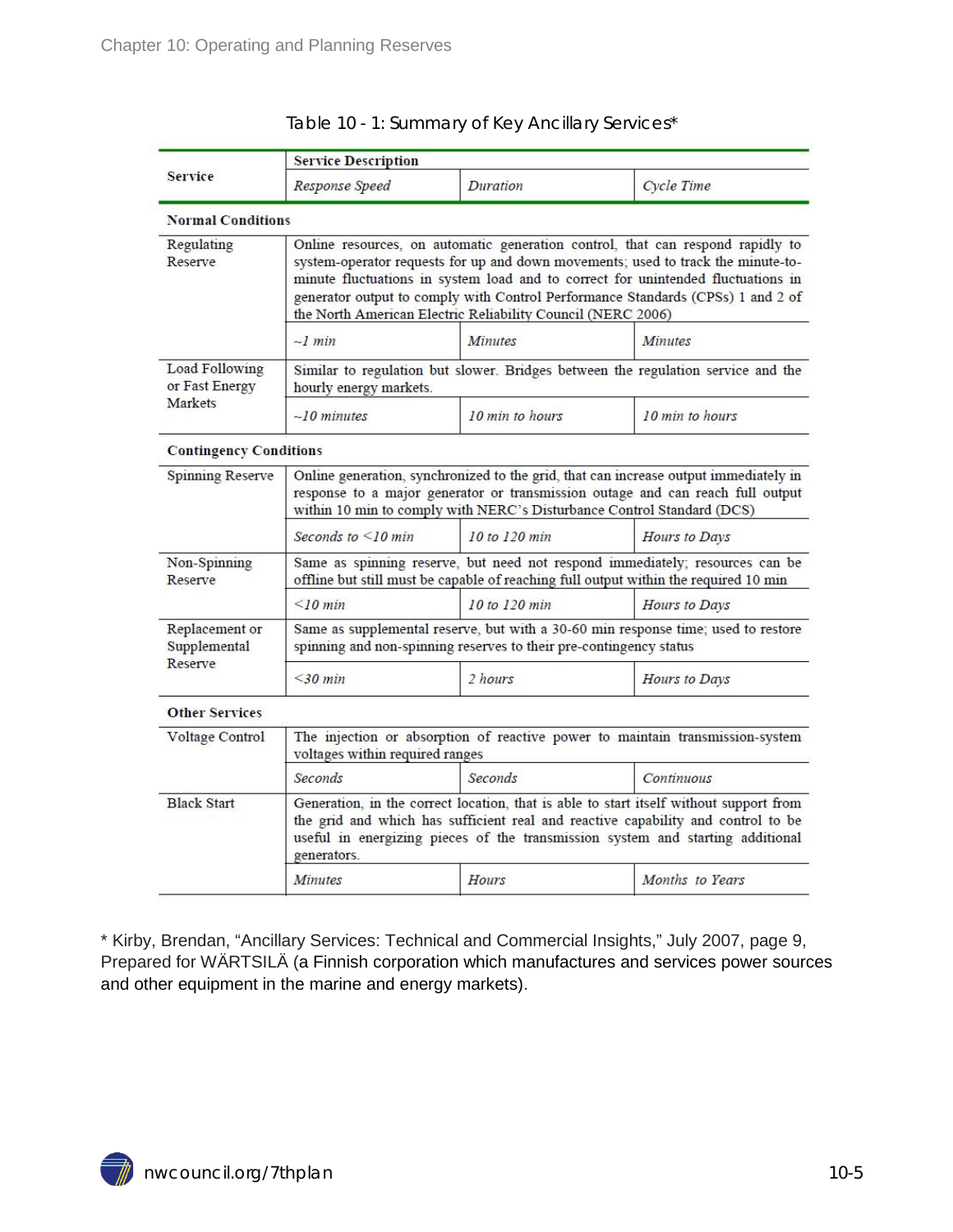<span id="page-4-0"></span>

|                                             | <b>Service Description</b>                                                                                                                                                                                                                                                                                                                                                                               |                 |                 |  |
|---------------------------------------------|----------------------------------------------------------------------------------------------------------------------------------------------------------------------------------------------------------------------------------------------------------------------------------------------------------------------------------------------------------------------------------------------------------|-----------------|-----------------|--|
| <b>Service</b>                              | Response Speed                                                                                                                                                                                                                                                                                                                                                                                           | Duration        | Cycle Time      |  |
| <b>Normal Conditions</b>                    |                                                                                                                                                                                                                                                                                                                                                                                                          |                 |                 |  |
| Regulating<br>Reserve                       | Online resources, on automatic generation control, that can respond rapidly to<br>system-operator requests for up and down movements; used to track the minute-to-<br>minute fluctuations in system load and to correct for unintended fluctuations in<br>generator output to comply with Control Performance Standards (CPSs) 1 and 2 of<br>the North American Electric Reliability Council (NERC 2006) |                 |                 |  |
|                                             | $-1$ min                                                                                                                                                                                                                                                                                                                                                                                                 | <i>Minutes</i>  | <b>Minutes</b>  |  |
| Load Following<br>or Fast Energy<br>Markets | Similar to regulation but slower. Bridges between the regulation service and the<br>hourly energy markets.                                                                                                                                                                                                                                                                                               |                 |                 |  |
|                                             | $\sim$ 10 minutes                                                                                                                                                                                                                                                                                                                                                                                        | 10 min to hours | 10 min to hours |  |
| <b>Contingency Conditions</b>               |                                                                                                                                                                                                                                                                                                                                                                                                          |                 |                 |  |
| Spinning Reserve                            | Online generation, synchronized to the grid, that can increase output immediately in<br>response to a major generator or transmission outage and can reach full output<br>within 10 min to comply with NERC's Disturbance Control Standard (DCS)                                                                                                                                                         |                 |                 |  |
|                                             | Seconds to $\leq 10$ min                                                                                                                                                                                                                                                                                                                                                                                 | 10 to 120 min   | Hours to Days   |  |
| Non-Spinning<br>Reserve                     | Same as spinning reserve, but need not respond immediately; resources can be<br>offline but still must be capable of reaching full output within the required 10 min                                                                                                                                                                                                                                     |                 |                 |  |
|                                             | $\leq$ 10 min                                                                                                                                                                                                                                                                                                                                                                                            | 10 to 120 min   | Hours to Days   |  |
| Replacement or<br>Supplemental<br>Reserve   | Same as supplemental reserve, but with a 30-60 min response time; used to restore<br>spinning and non-spinning reserves to their pre-contingency status                                                                                                                                                                                                                                                  |                 |                 |  |
|                                             | $\leq$ 30 min                                                                                                                                                                                                                                                                                                                                                                                            | 2 hours         | Hours to Days   |  |
| <b>Other Services</b>                       |                                                                                                                                                                                                                                                                                                                                                                                                          |                 |                 |  |
| Voltage Control                             | The injection or absorption of reactive power to maintain transmission-system<br>voltages within required ranges                                                                                                                                                                                                                                                                                         |                 |                 |  |
|                                             | Seconds                                                                                                                                                                                                                                                                                                                                                                                                  | Seconds         | Continuous      |  |
| <b>Black Start</b>                          | Generation, in the correct location, that is able to start itself without support from<br>the grid and which has sufficient real and reactive capability and control to be<br>useful in energizing pieces of the transmission system and starting additional<br>generators.                                                                                                                              |                 |                 |  |
|                                             | <b>Minutes</b>                                                                                                                                                                                                                                                                                                                                                                                           | Hours           | Months to Years |  |
|                                             |                                                                                                                                                                                                                                                                                                                                                                                                          |                 |                 |  |

\* Kirby, Brendan, "Ancillary Services: Technical and Commercial Insights," July 2007, page 9, Prepared for WÄRTSILÄ (a Finnish corporation which manufactures and services power sources and other equipment in the marine and energy markets).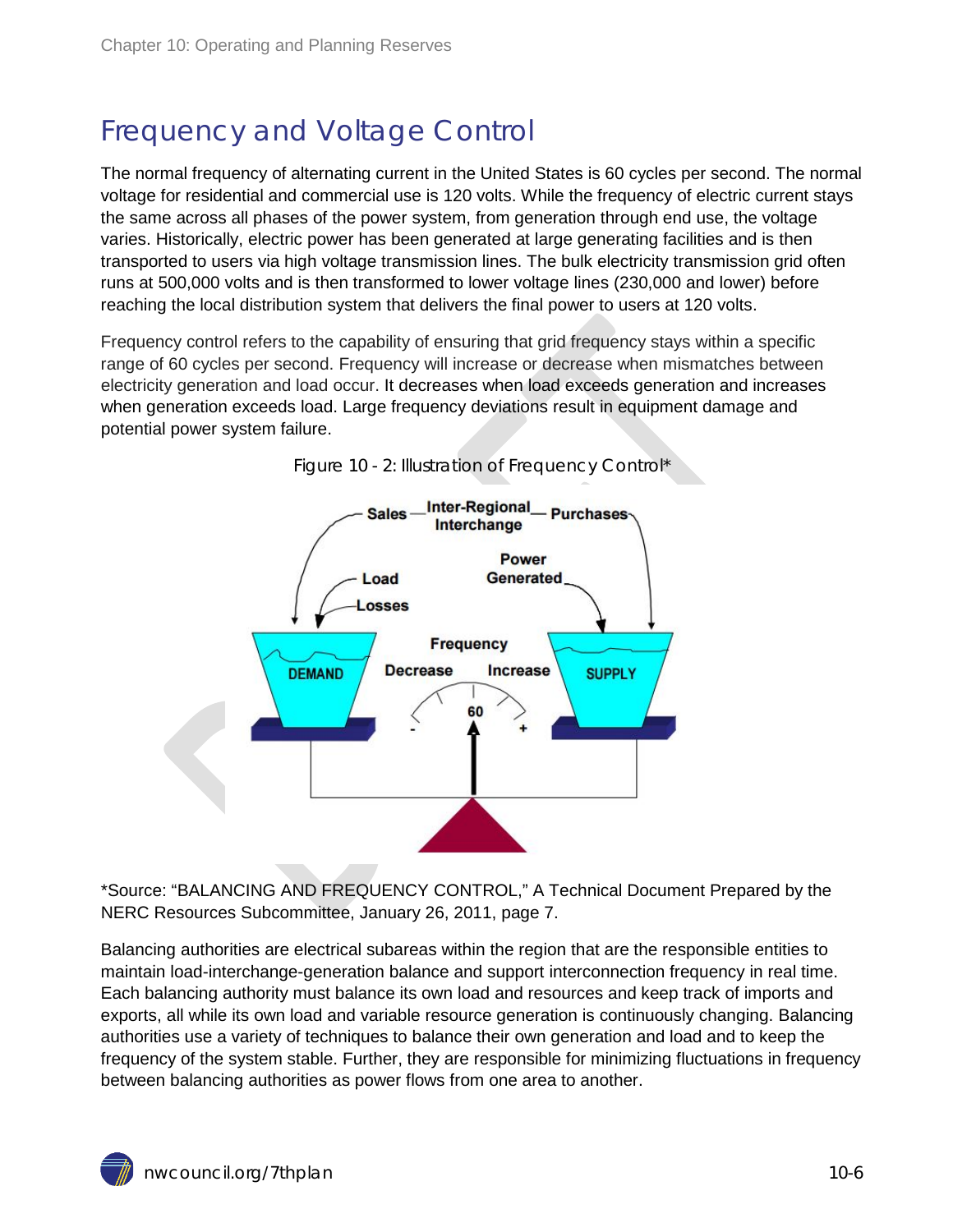## <span id="page-5-0"></span>Frequency and Voltage Control

The normal frequency of alternating current in the United States is 60 cycles per second. The normal voltage for residential and commercial use is 120 volts. While the frequency of electric current stays the same across all phases of the power system, from generation through end use, the voltage varies. Historically, electric power has been generated at large generating facilities and is then transported to users via high voltage transmission lines. The bulk electricity transmission grid often runs at 500,000 volts and is then transformed to lower voltage lines (230,000 and lower) before reaching the local distribution system that delivers the final power to users at 120 volts.

Frequency control refers to the capability of ensuring that grid frequency stays within a specific range of 60 cycles per second. Frequency will increase or decrease when mismatches between electricity generation and load occur. It decreases when load exceeds generation and increases when generation exceeds load. Large frequency deviations result in equipment damage and potential power system failure.

<span id="page-5-1"></span>

Figure 10 - 2: Illustration of Frequency Control\*

\*Source: "BALANCING AND FREQUENCY CONTROL," A Technical Document Prepared by the NERC Resources Subcommittee, January 26, 2011, page 7.

Balancing authorities are electrical subareas within the region that are the responsible entities to maintain load-interchange-generation balance and support interconnection frequency in real time. Each balancing authority must balance its own load and resources and keep track of imports and exports, all while its own load and variable resource generation is continuously changing. Balancing authorities use a variety of techniques to balance their own generation and load and to keep the frequency of the system stable. Further, they are responsible for minimizing fluctuations in frequency between balancing authorities as power flows from one area to another.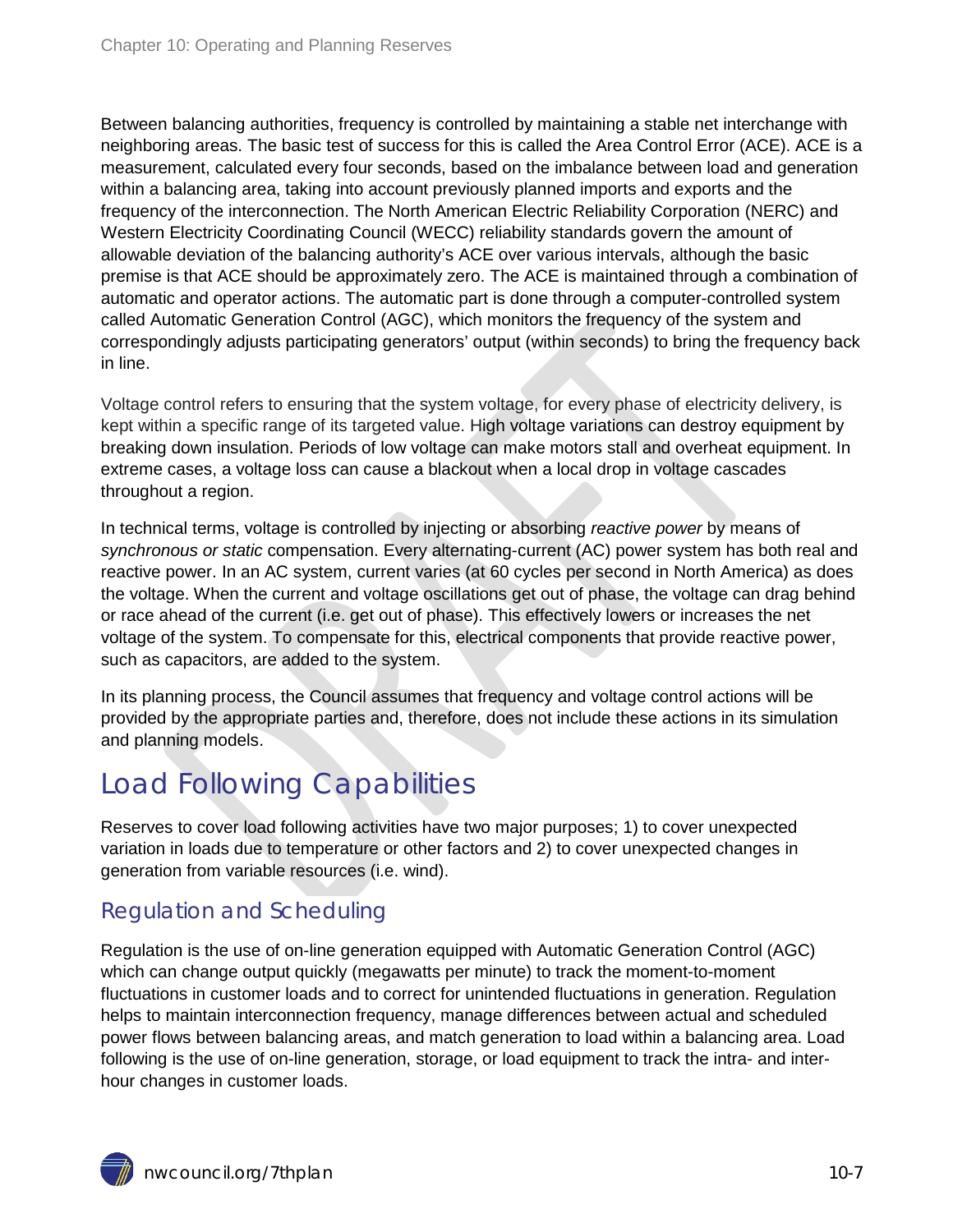Between balancing authorities, frequency is controlled by maintaining a stable net interchange with neighboring areas. The basic test of success for this is called the Area Control Error (ACE). ACE is a measurement, calculated every four seconds, based on the imbalance between load and generation within a balancing area, taking into account previously planned imports and exports and the frequency of the interconnection. The North American Electric Reliability Corporation (NERC) and Western Electricity Coordinating Council (WECC) reliability standards govern the amount of allowable deviation of the balancing authority's ACE over various intervals, although the basic premise is that ACE should be approximately zero. The ACE is maintained through a combination of automatic and operator actions. The automatic part is done through a computer-controlled system called Automatic Generation Control (AGC), which monitors the frequency of the system and correspondingly adjusts participating generators' output (within seconds) to bring the frequency back in line.

Voltage control refers to ensuring that the system voltage, for every phase of electricity delivery, is kept within a specific range of its targeted value. High voltage variations can destroy equipment by breaking down insulation. Periods of low voltage can make motors stall and overheat equipment. In extreme cases, a voltage loss can cause a blackout when a local drop in voltage cascades throughout a region.

In technical terms, voltage is controlled by injecting or absorbing *reactive power* by means of *synchronous or static* compensation. Every alternating-current (AC) power system has both real and reactive power. In an AC system, current varies (at 60 cycles per second in North America) as does the voltage. When the current and voltage oscillations get out of phase, the voltage can drag behind or race ahead of the current (i.e. get out of phase). This effectively lowers or increases the net voltage of the system. To compensate for this, electrical components that provide reactive power, such as capacitors, are added to the system.

In its planning process, the Council assumes that frequency and voltage control actions will be provided by the appropriate parties and, therefore, does not include these actions in its simulation and planning models.

### <span id="page-6-0"></span>Load Following Capabilities

Reserves to cover load following activities have two major purposes; 1) to cover unexpected variation in loads due to temperature or other factors and 2) to cover unexpected changes in generation from variable resources (i.e. wind).

#### <span id="page-6-1"></span>Regulation and Scheduling

Regulation is the use of on-line generation equipped with Automatic Generation Control (AGC) which can change output quickly (megawatts per minute) to track the moment-to-moment fluctuations in customer loads and to correct for unintended fluctuations in generation. Regulation helps to maintain interconnection frequency, manage differences between actual and scheduled power flows between balancing areas, and match generation to load within a balancing area. Load following is the use of on-line generation, storage, or load equipment to track the intra- and interhour changes in customer loads.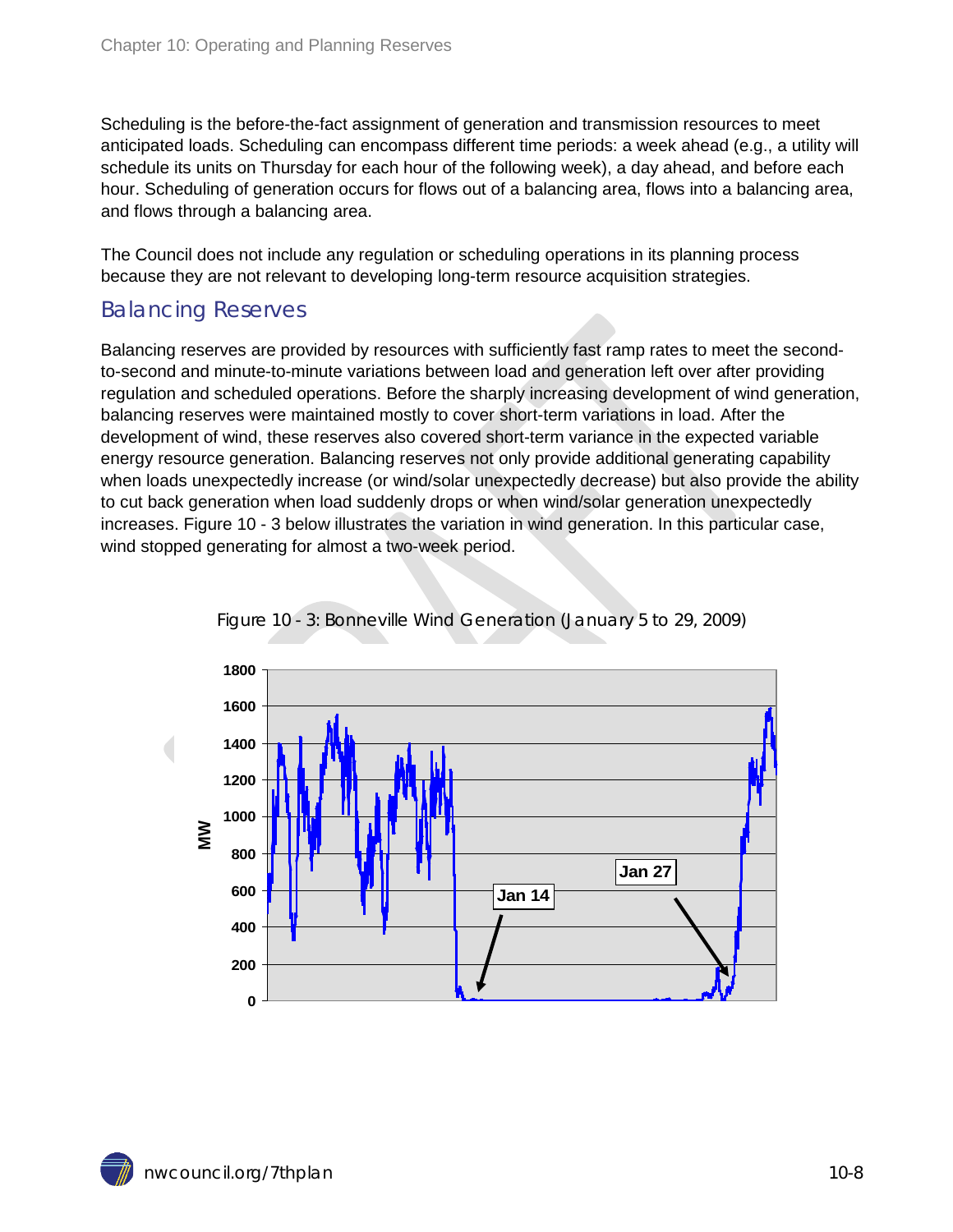Scheduling is the before-the-fact assignment of generation and transmission resources to meet anticipated loads. Scheduling can encompass different time periods: a week ahead (e.g., a utility will schedule its units on Thursday for each hour of the following week), a day ahead, and before each hour. Scheduling of generation occurs for flows out of a balancing area, flows into a balancing area, and flows through a balancing area.

The Council does not include any regulation or scheduling operations in its planning process because they are not relevant to developing long-term resource acquisition strategies.

#### <span id="page-7-0"></span>Balancing Reserves

Balancing reserves are provided by resources with sufficiently fast ramp rates to meet the secondto-second and minute-to-minute variations between load and generation left over after providing regulation and scheduled operations. Before the sharply increasing development of wind generation, balancing reserves were maintained mostly to cover short-term variations in load. After the development of wind, these reserves also covered short-term variance in the expected variable energy resource generation. Balancing reserves not only provide additional generating capability when loads unexpectedly increase (or wind/solar unexpectedly decrease) but also provide the ability to cut back generation when load suddenly drops or when wind/solar generation unexpectedly increases. Figure 10 - 3 below illustrates the variation in wind generation. In this particular case, wind stopped generating for almost a two-week period.

<span id="page-7-1"></span>

Figure 10 - 3: Bonneville Wind Generation (January 5 to 29, 2009)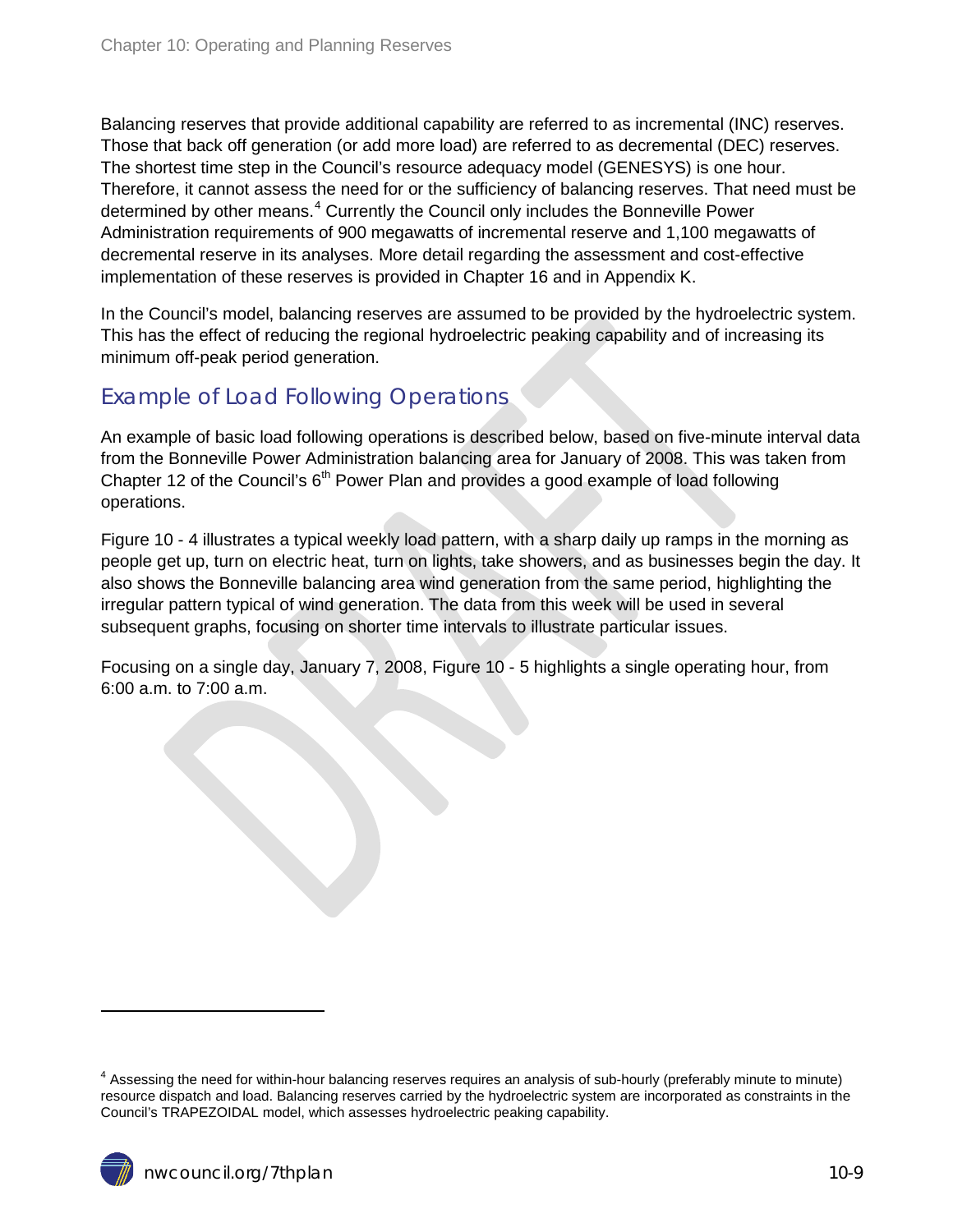Balancing reserves that provide additional capability are referred to as incremental (INC) reserves. Those that back off generation (or add more load) are referred to as decremental (DEC) reserves. The shortest time step in the Council's resource adequacy model (GENESYS) is one hour. Therefore, it cannot assess the need for or the sufficiency of balancing reserves. That need must be determined by other means.<sup>[4](#page-1-2)</sup> Currently the Council only includes the Bonneville Power Administration requirements of 900 megawatts of incremental reserve and 1,100 megawatts of decremental reserve in its analyses. More detail regarding the assessment and cost-effective implementation of these reserves is provided in Chapter 16 and in Appendix K.

In the Council's model, balancing reserves are assumed to be provided by the hydroelectric system. This has the effect of reducing the regional hydroelectric peaking capability and of increasing its minimum off-peak period generation.

#### <span id="page-8-0"></span>Example of Load Following Operations

An example of basic load following operations is described below, based on five-minute interval data from the Bonneville Power Administration balancing area for January of 2008. This was taken from Chapter 12 of the Council's  $6<sup>th</sup>$  Power Plan and provides a good example of load following operations.

Figure 10 - 4 illustrates a typical weekly load pattern, with a sharp daily up ramps in the morning as people get up, turn on electric heat, turn on lights, take showers, and as businesses begin the day. It also shows the Bonneville balancing area wind generation from the same period, highlighting the irregular pattern typical of wind generation. The data from this week will be used in several subsequent graphs, focusing on shorter time intervals to illustrate particular issues.

Focusing on a single day, January 7, 2008, Figure 10 - 5 highlights a single operating hour, from 6:00 a.m. to 7:00 a.m.

 $\ddot{\phantom{a}}$ 

<span id="page-8-1"></span><sup>&</sup>lt;sup>4</sup> Assessing the need for within-hour balancing reserves requires an analysis of sub-hourly (preferably minute to minute) resource dispatch and load. Balancing reserves carried by the hydroelectric system are incorporated as constraints in the Council's TRAPEZOIDAL model, which assesses hydroelectric peaking capability.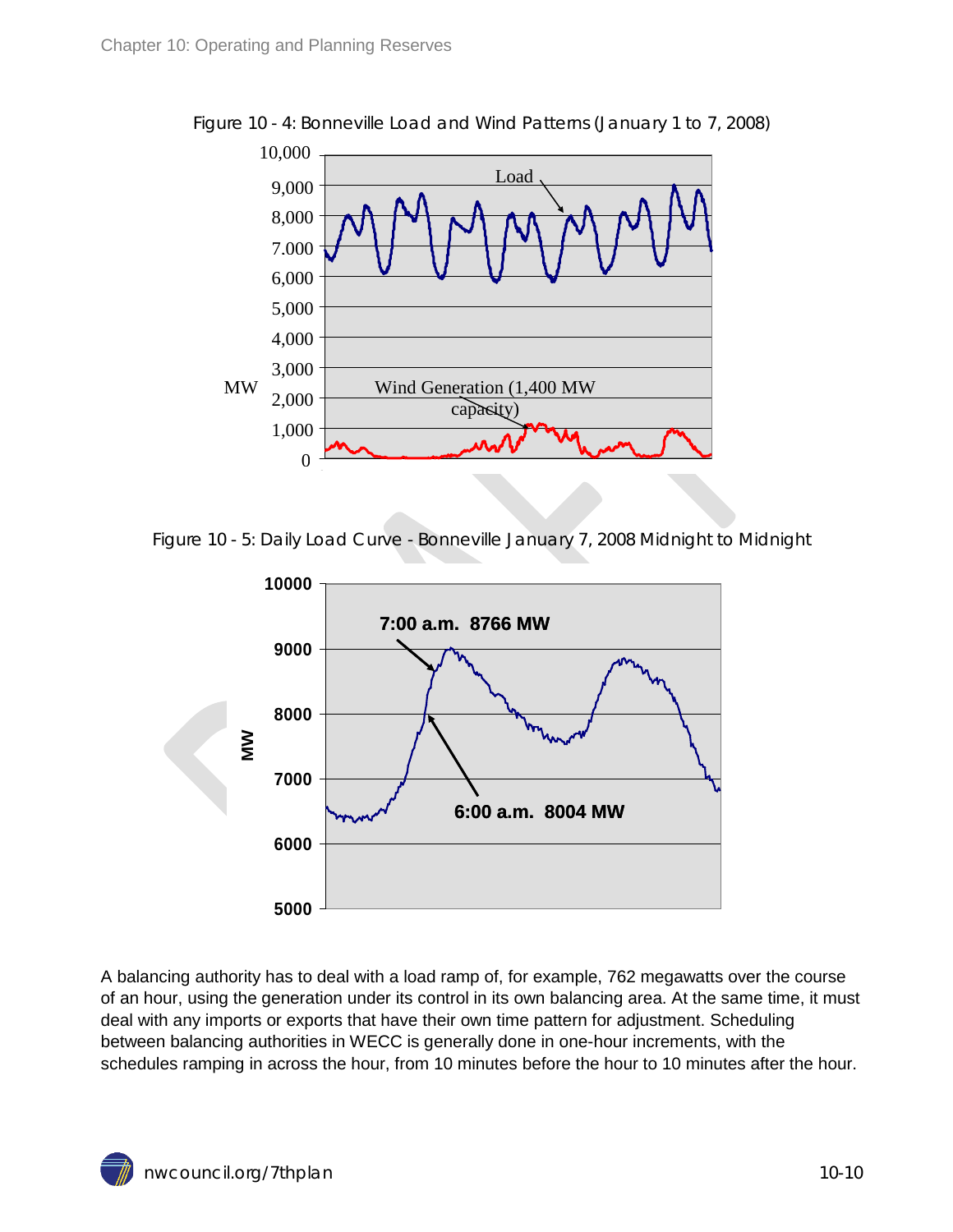

<span id="page-9-0"></span>Figure 10 - 4: Bonneville Load and Wind Patterns (January 1 to 7, 2008)

<span id="page-9-1"></span>Figure 10 - 5: Daily Load Curve - Bonneville January 7, 2008 Midnight to Midnight



A balancing authority has to deal with a load ramp of, for example, 762 megawatts over the course of an hour, using the generation under its control in its own balancing area. At the same time, it must deal with any imports or exports that have their own time pattern for adjustment. Scheduling between balancing authorities in WECC is generally done in one-hour increments, with the schedules ramping in across the hour, from 10 minutes before the hour to 10 minutes after the hour.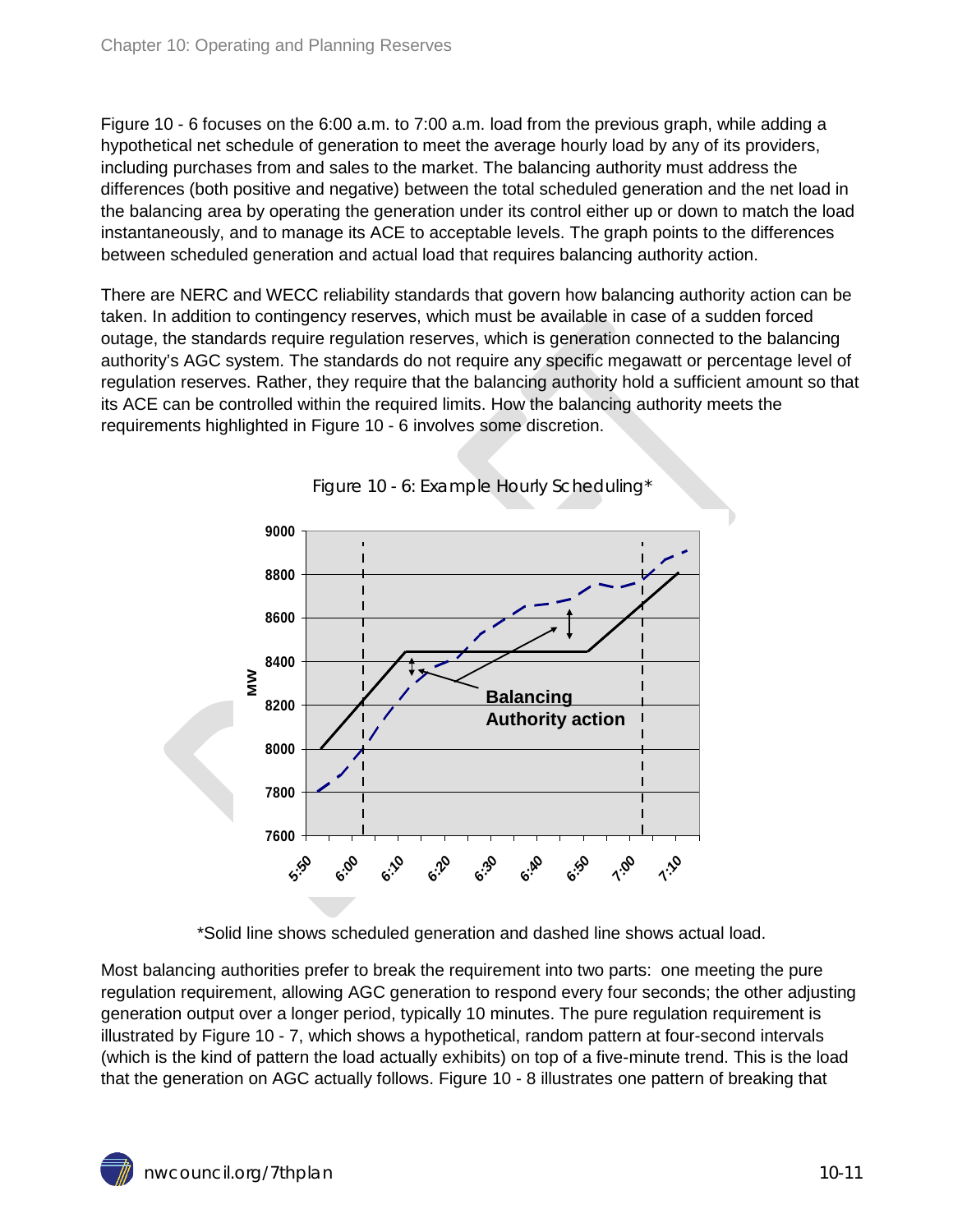Figure 10 - 6 focuses on the 6:00 a.m. to 7:00 a.m. load from the previous graph, while adding a hypothetical net schedule of generation to meet the average hourly load by any of its providers, including purchases from and sales to the market. The balancing authority must address the differences (both positive and negative) between the total scheduled generation and the net load in the balancing area by operating the generation under its control either up or down to match the load instantaneously, and to manage its ACE to acceptable levels. The graph points to the differences between scheduled generation and actual load that requires balancing authority action.

There are NERC and WECC reliability standards that govern how balancing authority action can be taken. In addition to contingency reserves, which must be available in case of a sudden forced outage, the standards require regulation reserves, which is generation connected to the balancing authority's AGC system. The standards do not require any specific megawatt or percentage level of regulation reserves. Rather, they require that the balancing authority hold a sufficient amount so that its ACE can be controlled within the required limits. How the balancing authority meets the requirements highlighted in Figure 10 - 6 involves some discretion.

<span id="page-10-0"></span>



\*Solid line shows scheduled generation and dashed line shows actual load.

Most balancing authorities prefer to break the requirement into two parts: one meeting the pure regulation requirement, allowing AGC generation to respond every four seconds; the other adjusting generation output over a longer period, typically 10 minutes. The pure regulation requirement is illustrated by Figure 10 - 7, which shows a hypothetical, random pattern at four-second intervals (which is the kind of pattern the load actually exhibits) on top of a five-minute trend. This is the load that the generation on AGC actually follows. Figure 10 - 8 illustrates one pattern of breaking that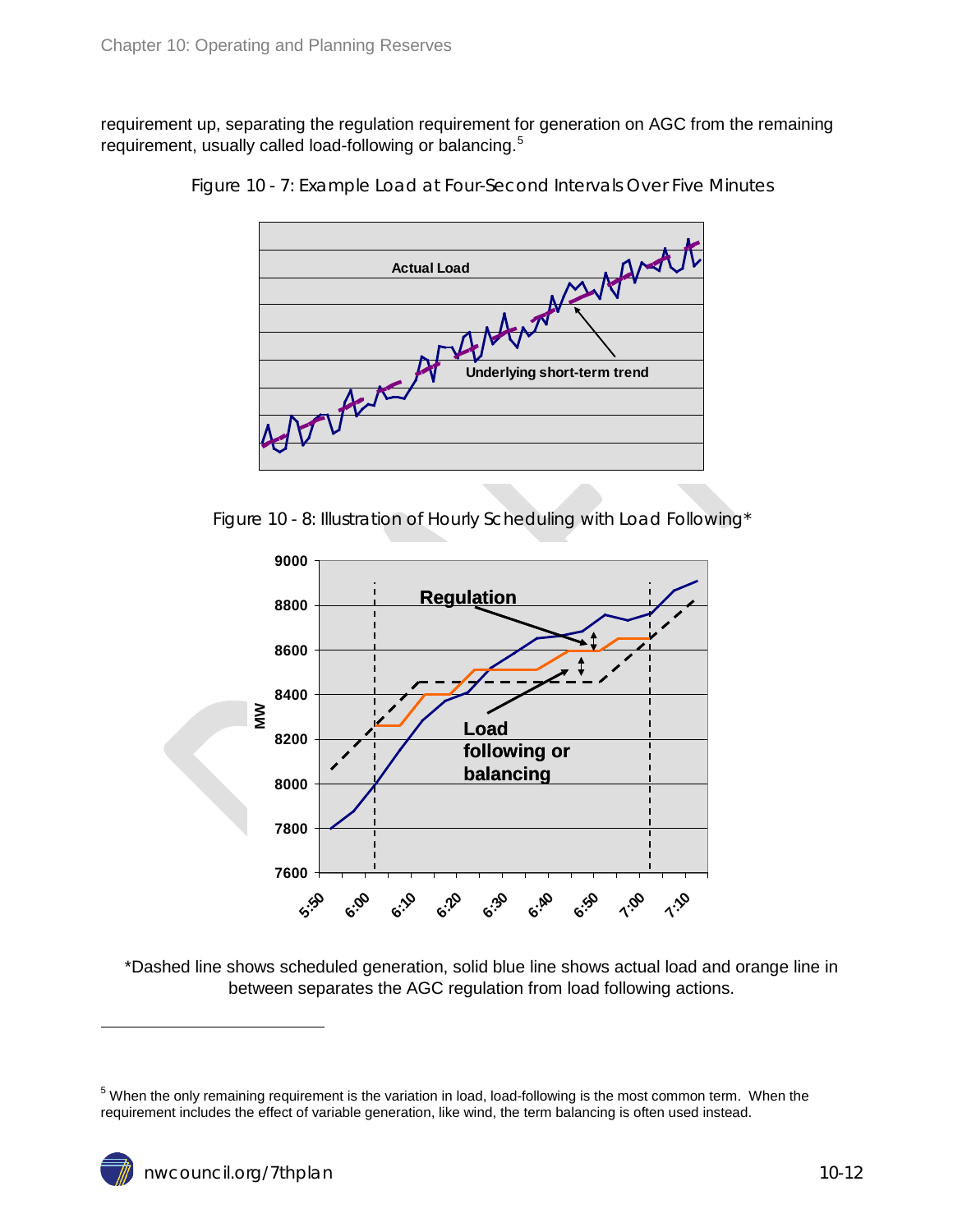<span id="page-11-0"></span>requirement up, separating the regulation requirement for generation on AGC from the remaining requirement, usually called load-following or balancing.<sup>[5](#page-8-1)</sup>



Figure 10 - 7: Example Load at Four-Second Intervals Over Five Minutes



<span id="page-11-1"></span>

\*Dashed line shows scheduled generation, solid blue line shows actual load and orange line in between separates the AGC regulation from load following actions.

 $\ddot{\phantom{a}}$ 

<span id="page-11-2"></span><sup>5</sup> When the only remaining requirement is the variation in load, load-following is the most common term. When the requirement includes the effect of variable generation, like wind, the term balancing is often used instead.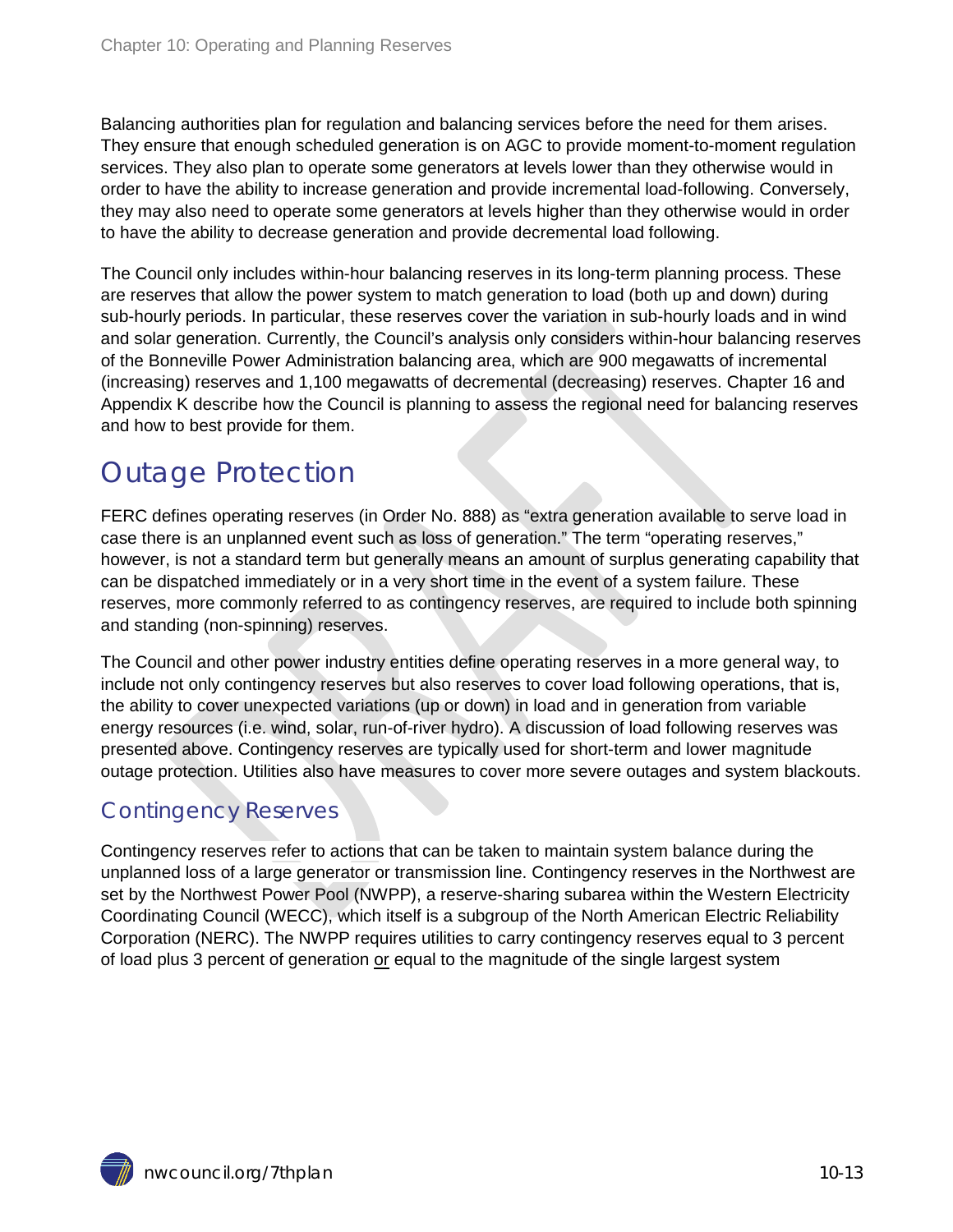Balancing authorities plan for regulation and balancing services before the need for them arises. They ensure that enough scheduled generation is on AGC to provide moment-to-moment regulation services. They also plan to operate some generators at levels lower than they otherwise would in order to have the ability to increase generation and provide incremental load-following. Conversely, they may also need to operate some generators at levels higher than they otherwise would in order to have the ability to decrease generation and provide decremental load following.

The Council only includes within-hour balancing reserves in its long-term planning process. These are reserves that allow the power system to match generation to load (both up and down) during sub-hourly periods. In particular, these reserves cover the variation in sub-hourly loads and in wind and solar generation. Currently, the Council's analysis only considers within-hour balancing reserves of the Bonneville Power Administration balancing area, which are 900 megawatts of incremental (increasing) reserves and 1,100 megawatts of decremental (decreasing) reserves. Chapter 16 and Appendix K describe how the Council is planning to assess the regional need for balancing reserves and how to best provide for them.

### <span id="page-12-0"></span>Outage Protection

FERC defines operating reserves (in Order No. 888) as "extra generation available to serve load in case there is an unplanned event such as loss of generation." The term "operating reserves," however, is not a standard term but generally means an amount of surplus generating capability that can be dispatched immediately or in a very short time in the event of a system failure. These reserves, more commonly referred to as contingency reserves, are required to include both spinning and standing (non-spinning) reserves.

The Council and other power industry entities define operating reserves in a more general way, to include not only contingency reserves but also reserves to cover load following operations, that is, the ability to cover unexpected variations (up or down) in load and in generation from variable energy resources (i.e. wind, solar, run-of-river hydro). A discussion of load following reserves was presented above. Contingency reserves are typically used for short-term and lower magnitude outage protection. Utilities also have measures to cover more severe outages and system blackouts.

#### <span id="page-12-1"></span>Contingency Reserves

Contingency reserves refer to actions that can be taken to maintain system balance during the unplanned loss of a large generator or transmission line. Contingency reserves in the Northwest are set by the Northwest Power Pool (NWPP), a reserve-sharing subarea within the Western Electricity Coordinating Council (WECC), which itself is a subgroup of the North American Electric Reliability Corporation (NERC). The NWPP requires utilities to carry contingency reserves equal to 3 percent of load plus 3 percent of generation or equal to the magnitude of the single largest system

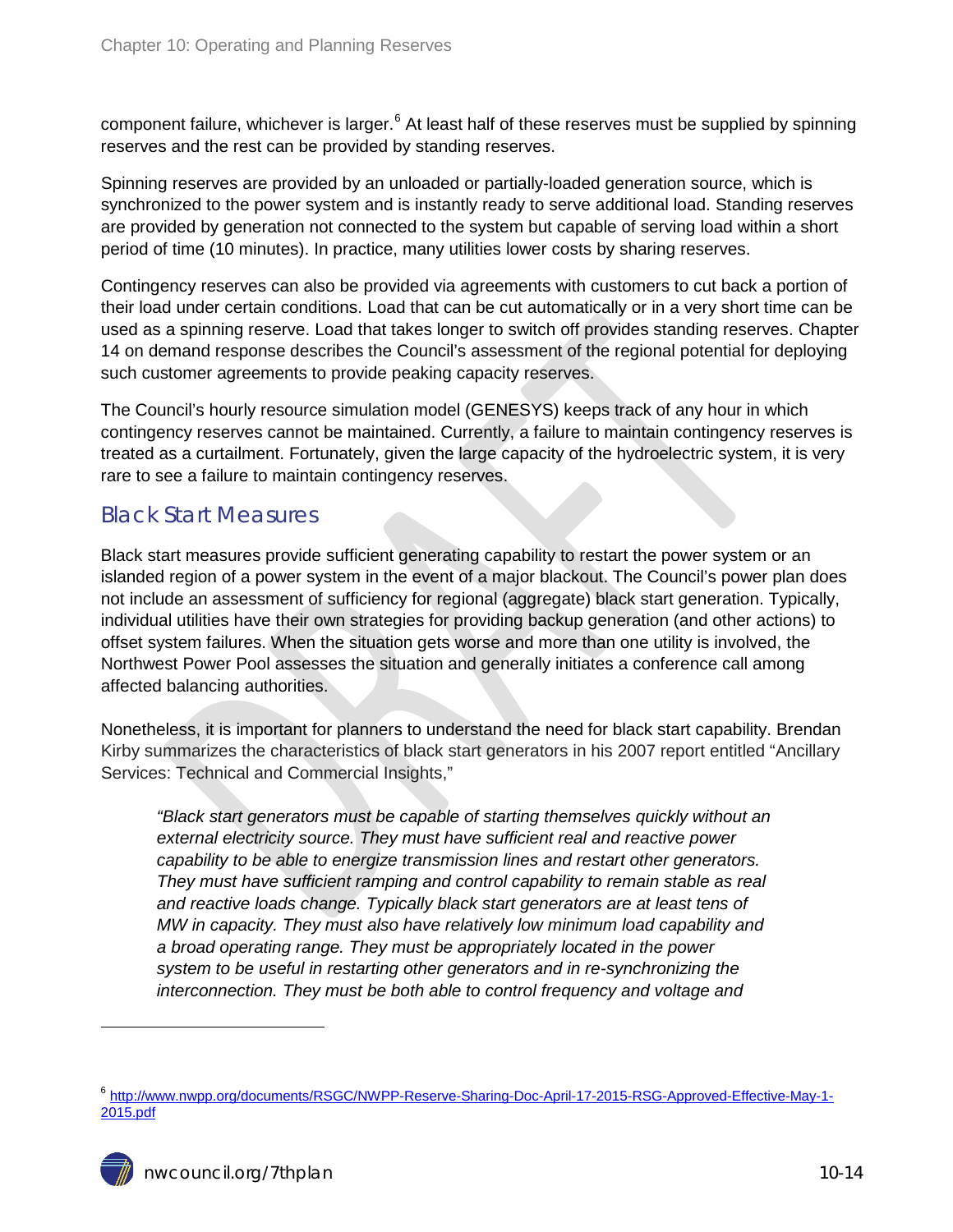component failure, whichever is larger.<sup>[6](#page-11-2)</sup> At least half of these reserves must be supplied by spinning reserves and the rest can be provided by standing reserves.

Spinning reserves are provided by an unloaded or partially-loaded generation source, which is synchronized to the power system and is instantly ready to serve additional load. Standing reserves are provided by generation not connected to the system but capable of serving load within a short period of time (10 minutes). In practice, many utilities lower costs by sharing reserves.

Contingency reserves can also be provided via agreements with customers to cut back a portion of their load under certain conditions. Load that can be cut automatically or in a very short time can be used as a spinning reserve. Load that takes longer to switch off provides standing reserves. Chapter 14 on demand response describes the Council's assessment of the regional potential for deploying such customer agreements to provide peaking capacity reserves.

The Council's hourly resource simulation model (GENESYS) keeps track of any hour in which contingency reserves cannot be maintained. Currently, a failure to maintain contingency reserves is treated as a curtailment. Fortunately, given the large capacity of the hydroelectric system, it is very rare to see a failure to maintain contingency reserves.

#### <span id="page-13-0"></span>Black Start Measures

Black start measures provide sufficient generating capability to restart the power system or an islanded region of a power system in the event of a major blackout. The Council's power plan does not include an assessment of sufficiency for regional (aggregate) black start generation. Typically, individual utilities have their own strategies for providing backup generation (and other actions) to offset system failures. When the situation gets worse and more than one utility is involved, the Northwest Power Pool assesses the situation and generally initiates a conference call among affected balancing authorities.

Nonetheless, it is important for planners to understand the need for black start capability. Brendan Kirby summarizes the characteristics of black start generators in his 2007 report entitled "Ancillary Services: Technical and Commercial Insights,"

*"Black start generators must be capable of starting themselves quickly without an external electricity source. They must have sufficient real and reactive power capability to be able to energize transmission lines and restart other generators. They must have sufficient ramping and control capability to remain stable as real and reactive loads change. Typically black start generators are at least tens of MW in capacity. They must also have relatively low minimum load capability and a broad operating range. They must be appropriately located in the power system to be useful in restarting other generators and in re-synchronizing the interconnection. They must be both able to control frequency and voltage and* 

 $\ddot{\phantom{a}}$ 

<sup>6</sup> [http://www.nwpp.org/documents/RSGC/NWPP-Reserve-Sharing-Doc-April-17-2015-RSG-Approved-Effective-May-1-](http://www.nwpp.org/documents/RSGC/NWPP-Reserve-Sharing-Doc-April-17-2015-RSG-Approved-Effective-May-1-2015.pdf) [2015.pdf](http://www.nwpp.org/documents/RSGC/NWPP-Reserve-Sharing-Doc-April-17-2015-RSG-Approved-Effective-May-1-2015.pdf)